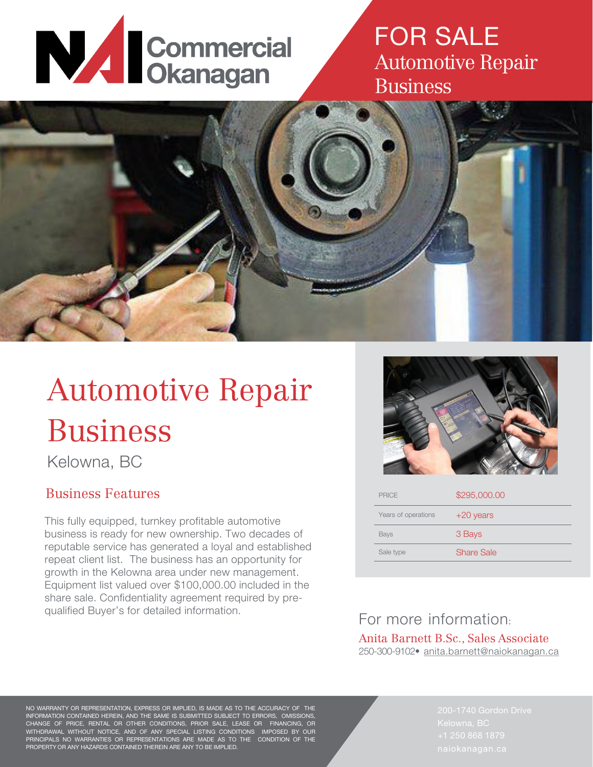# **NAN Commercial**

## FOR SALE Automotive Repair Business



# Automotive Repair Business

Kelowna, BC

#### Business Features

This fully equipped, turnkey profitable automotive business is ready for new ownership. Two decades of reputable service has generated a loyal and established repeat client list. The business has an opportunity for growth in the Kelowna area under new management. Equipment list valued over \$100,000.00 included in the share sale. Confidentiality agreement required by prequalified Buyer's for detailed information.



| <b>PRICE</b>        | \$295,000.00 |
|---------------------|--------------|
| Years of operations | $+20$ years  |
| <b>Bays</b>         | 3 Bays       |
| Sale type           | Share Sale   |
|                     |              |

#### For more information: Anita Barnett B.Sc., Sales Associate 250-300-9102• [anita.barnett@naiokanagan.ca](mailto:anita.barnett@naiokanagan.ca)

NO WARRANTY OR REPRESENTATION, EXPRESS OR IMPLIED, IS MADE AS TO THE ACCURACY OF THE INFORMATION CONTAINED HEREIN, AND THE SAME IS SUBMITTED SUBJECT TO ERRORS, OMISSIONS, CHANGE OF PRICE, RENTAL OR OTHER CONDITIONS, PRIOR SALE, LEASE OR FINANCING, OR WITHDRAWAL WITHOUT NOTICE, AND OF ANY SPECIAL LISTING CONDITIONS IMPOSED BY OUR PRINCIPALS NO WARRANTIES OR REPRESENTATIONS ARE MADE AS TO THE CONDITION OF THE PROPERTY OR ANY HAZARDS CONTAINED THEREIN ARE ANY TO BE IMPLIED.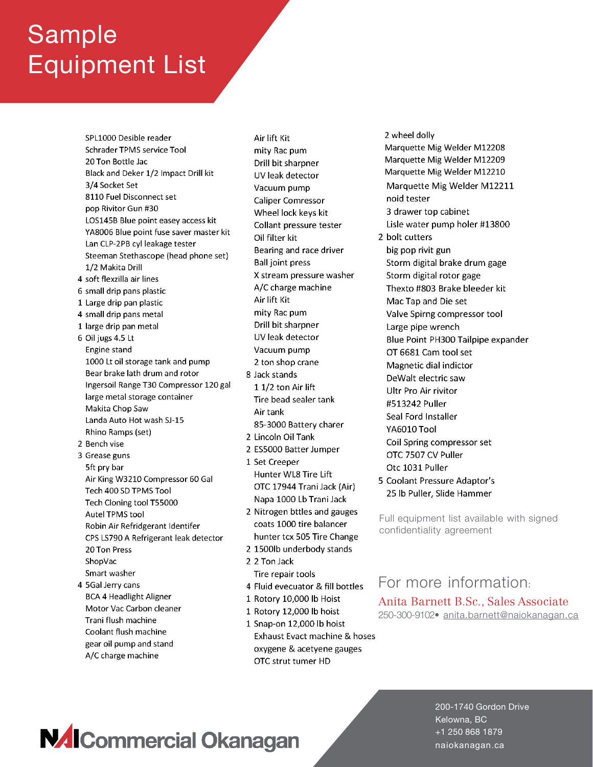# Sample Equipment List

- SPL1000 Desible reader Schrader TPMS service Tool 20 Ton Bottle Jac Black and Deker 1/2 Impact Drill kit 3/4 Socket Set 8110 Fuel Disconnect set pop Rivitor Gun #30 LOS145B Blue point easey access kit YA8006 Blue point fuse saver master kit Lan CLP-2PB cyl leakage tester Steeman Stethascope (head phone set) 1/2 Makita Drill 4 soft flexzilla air lines 6 small drip pans plastic 1 Large drip pan plastic 4 small drip pans metal 1 large drip pan metal 6 Oil jugs 4.5 Lt Engine stand 1000 Lt oil storage tank and pump Bear brake lath drum and rotor Ingersoil Range T30 Compressor 120 gal large metal storage container Makita Chop Saw Landa Auto Hot wash SJ-15 Rhino Ramps (set) 2 Bench vise 3 Grease guns 5ft pry bar Air King W3210 Compressor 60 Gal Tech 400 SD TPMS Tool Tech Cloning tool T55000 **Autel TPMS tool** Robin Air Refridgerant Identifer CPS LS790 A Refrigerant leak detector 20 Ton Press ShopVac Smart washer 4 5Gal Jerry cans **BCA 4 Headlight Aligner**
- Motor Vac Carbon cleaner Trani flush machine Coolant flush machine gear oil pump and stand A/C charge machine

Air lift Kit mity Rac pum Drill bit sharpner UV leak detector Vacuum pump **Caliper Comressor** Wheel lock keys kit Collant pressure tester Oil filter kit Bearing and race driver **Ball joint press** X stream pressure washer A/C charge machine Air lift Kit mity Rac pum Drill bit sharpner UV leak detector Vacuum pump 2 ton shop crane 8 Jack stands 1 1/2 ton Air lift Tire bead sealer tank Air tank 85-3000 Battery charer 2 Lincoln Oil Tank 2 ES5000 Batter Jumper 1 Set Creeper Hunter WL8 Tire Lift OTC 17944 Trani Jack (Air) Napa 1000 Lb Trani Jack 2 Nitrogen bttles and gauges

- coats 1000 tire balancer hunter tcx 505 Tire Change
- 2 1500lb underbody stands
- 2 2 Ton Jack Tire repair tools
- 4 Fluid evecuator & fill bottles
- 1 Rotory 10,000 lb Hoist
- 1 Rotory 12,000 lb hoist
- 1 Snap-on 12,000 lb hoist Exhaust Evact machine & hoses oxygene & acetyene gauges OTC strut tumer HD

2 wheel dolly Marquette Mig Welder M12208 Marquette Mig Welder M12209 Marquette Mig Welder M12210 Marquette Mig Welder M12211 noid tester 3 drawer top cabinet Lisle water pump holer #13800 2 bolt cutters big pop rivit gun Storm digital brake drum gage Storm digital rotor gage Thexto #803 Brake bleeder kit Mac Tap and Die set Valve Spirng compressor tool Large pipe wrench Blue Point PH300 Tailpipe expander OT 6681 Cam tool set Magnetic dial indictor DeWalt electric saw Ultr Pro Air rivitor #513242 Puller Seal Ford Installer YA6010 Tool Coil Spring compressor set OTC 7507 CV Puller Otc 1031 Puller 5 Coolant Pressure Adaptor's 25 lb Puller, Slide Hammer

Full equipment list available with signed confidentiality agreement

#### For more information:

#### Anita Barnett B.Sc., Sales Associate 250-300-9102• [anita.barnett@naiokanagan.ca](mailto:anita.barnett@naiokanagan.ca)

**NAI**Commercial Okanagan

200-1740 Gordon Drive Kelowna, BC +1 250 868 1879 naiokanagan.ca